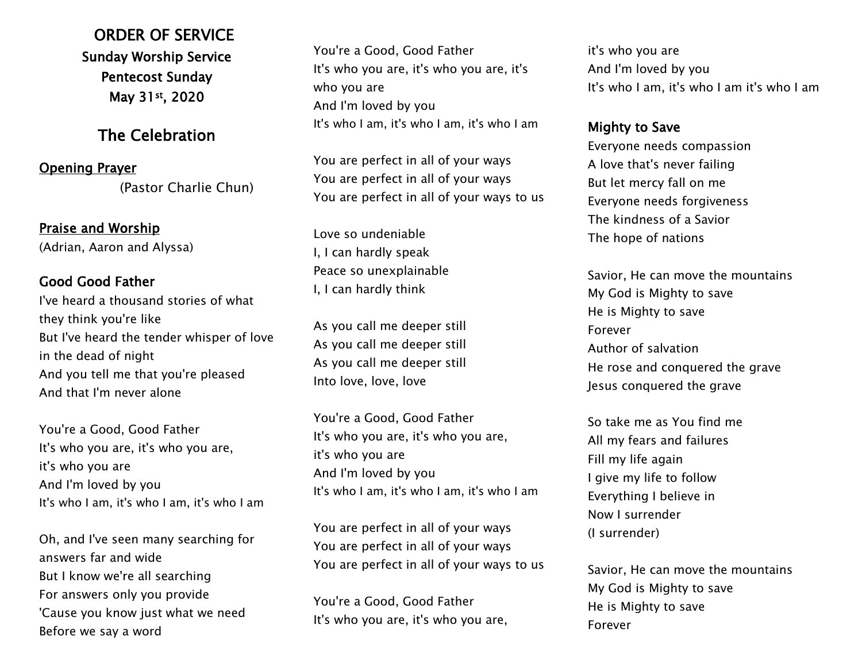ORDER OF SERVICE Sunday Worship Service Pentecost Sunday May 31st , 2020

## The Celebration

Opening Prayer (Pastor Charlie Chun)

### Praise and Worship

(Adrian, Aaron and Alyssa)

### Good Good Father

I've heard a thousand stories of what they think you're like But I've heard the tender whisper of love in the dead of night And you tell me that you're pleased And that I'm never alone

You're a Good, Good Father It's who you are, it's who you are, it's who you are And I'm loved by you It's who I am, it's who I am, it's who I am

Oh, and I've seen many searching for answers far and wide But I know we're all searching For answers only you provide 'Cause you know just what we need Before we say a word

You're a Good, Good Father It's who you are, it's who you are, it's who you are And I'm loved by you It's who I am, it's who I am, it's who I am

You are perfect in all of your ways You are perfect in all of your ways You are perfect in all of your ways to us

Love so undeniable I, I can hardly speak Peace so unexplainable I, I can hardly think

As you call me deeper still As you call me deeper still As you call me deeper still Into love, love, love

You're a Good, Good Father It's who you are, it's who you are, it's who you are And I'm loved by you It's who I am, it's who I am, it's who I am

You are perfect in all of your ways You are perfect in all of your ways You are perfect in all of your ways to us

You're a Good, Good Father It's who you are, it's who you are, it's who you are And I'm loved by you It's who I am, it's who I am it's who I am

#### Mighty to Save

Everyone needs compassion A love that's never failing But let mercy fall on me Everyone needs forgiveness The kindness of a Savior The hope of nations

Savior, He can move the mountains My God is Mighty to save He is Mighty to save Forever Author of salvation He rose and conquered the grave Jesus conquered the grave

So take me as You find me All my fears and failures Fill my life again I give my life to follow Everything I believe in Now I surrender (I surrender)

Savior, He can move the mountains My God is Mighty to save He is Mighty to save Forever